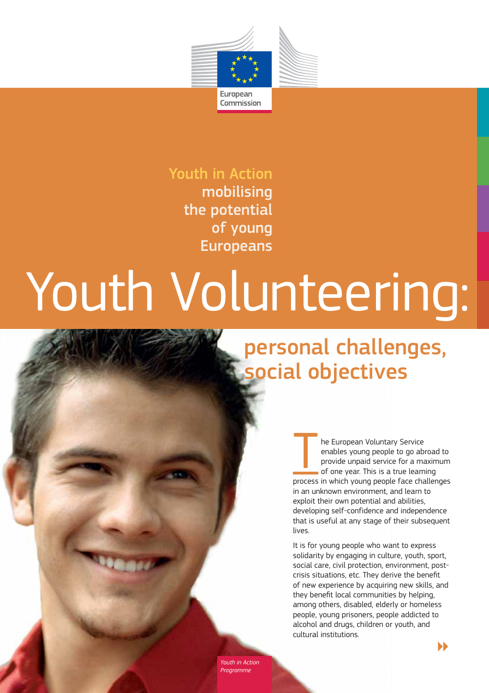

# Youth in Action

mobilising the potential of young Europeans

# Youth Volunteering:

# personal challenges, social objectives

The European Voluntary Service<br>
enables young people to go abr<br>
provide unpaid service for a ma<br>
of one year. This is a true learn enables young people to go abroad to provide unpaid service for a maximum of one year. This is a true learning process in which young people face challenges in an unknown environment, and learn to exploit their own potential and abilities, developing self-confidence and independence that is useful at any stage of their subsequent lives.

It is for young people who want to express solidarity by engaging in culture, youth, sport, social care, civil protection, environment, post crisis situations, etc. They derive the benefit of new experience by acquiring new skills, and they benefit local communities by helping, among others, disabled, elderly or homeless people, young prisoners, people addicted to alcohol and drugs, children or youth, and cultural institutions.

*Youth in Action* 

 $\blacktriangleright$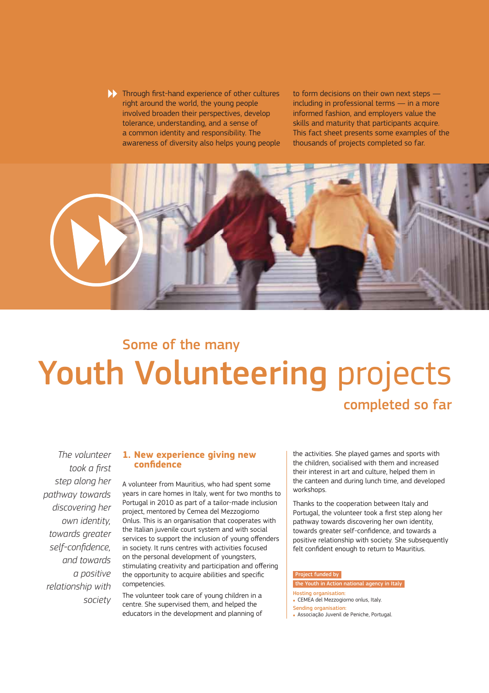$\blacktriangleright$  Through first-hand experience of other cultures right around the world, the young people involved broaden their perspectives, develop tolerance, understanding, and a sense of a common identity and responsibility. The awareness of diversity also helps young people

to form decisions on their own next steps including in professional terms — in a more informed fashion, and employers value the skills and maturity that participants acquire. This fact sheet presents some examples of the thousands of projects completed so far.



# Youth Volunteering projects Some of the many completed so far

*The volunteer <i><u>took a first</u>* step along her *-*  discovering her *<i><u>own identity</u> -*  self-confidence. and towards a positive *relationship* with  *-*

# **1. New experience giving new**

A volunteer from Mauritius, who had spent some years in care homes in Italy, went for two months to Portugal in 2010 as part of a tailor-made inclusion project, mentored by Cemea del Mezzogiorno Onlus. This is an organisation that cooperates with the Italian juvenile court system and with social services to support the inclusion of young offenders in society. It runs centres with activities focused on the personal development of youngsters, stimulating creativity and participation and offering the opportunity to acquire abilities and specific competencies.

The volunteer took care of young children in a centre. She supervised them, and helped the educators in the development and planning of the activities. She played games and sports with the children, socialised with them and increased their interest in art and culture, helped them in the canteen and during lunch time, and developed workshops.

Thanks to the cooperation between Italy and Portugal, the volunteer took a first step along her pathway towards discovering her own identity, towards greater self-confidence, and towards a positive relationship with society. She subsequently felt confident enough to return to Mauritius.

#### Project funded by

# the Youth in Action national agency in Italy

- Hosting organisation:
- . CEMEA del Mezzogiorno onlus, Italy.
- Sending organisation:
- **Associação Juvenil de Peniche, Portugal.**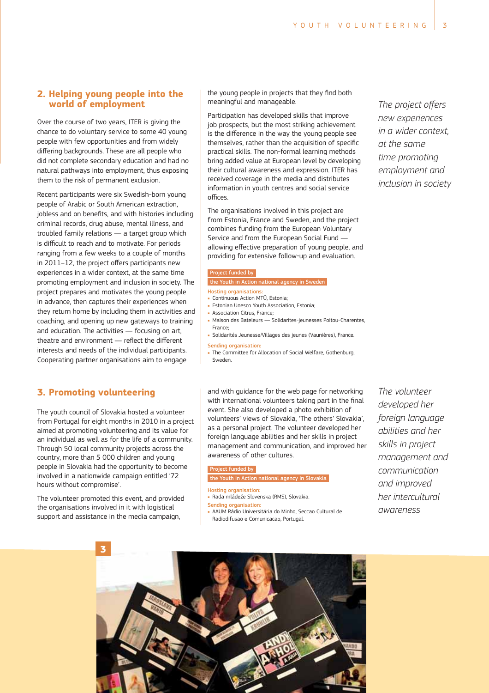# **2. Helping young people into the**

Over the course of two years, ITER is giving the chance to do voluntary service to some 40 young people with few opportunities and from widely differing backgrounds. These are all people who did not complete secondary education and had no natural pathways into employment, thus exposing them to the risk of permanent exclusion.

Recent participants were six Swedish-born young people of Arabic or South American extraction, jobless and on benefits, and with histories including criminal records, drug abuse, mental illness, and troubled family relations — a target group which is difficult to reach and to motivate. For periods ranging from a few weeks to a couple of months in 2011-12, the project offers participants new experiences in a wider context, at the same time promoting employment and inclusion in society. The project prepares and motivates the young people in advance, then captures their experiences when they return home by including them in activities and coaching, and opening up new gateways to training and education. The activities — focusing on art theatre and environment — reflect the different interests and needs of the individual participants. Cooperating partner organisations aim to engage

# **3. Promoting volunteering**

The youth council of Slovakia hosted a volunteer from Portugal for eight months in 2010 in a project aimed at promoting volunteering and its value for an individual as well as for the life of a community. Through 50 local community projects across the country, more than 5 000 children and young people in Slovakia had the opportunity to become involved in a nationwide campaign entitled '72 hours without compromise'.

The volunteer promoted this event, and provided the organisations involved in it with logistical support and assistance in the media campaign,

the young people in projects that they find both meaningful and manageable.

Participation has developed skills that improve job prospects, but the most striking achievement is the difference in the way the young people see themselves, rather than the acquisition of specific practical skills. The non-formal learning methods bring added value at European level by developing their cultural awareness and expression. ITER has received coverage in the media and distributes information in youth centres and social service offices.

The organisations involved in this project are from Estonia, France and Sweden, and the project combines funding from the European Voluntary Service and from the European Social Fund allowing effective preparation of young people, and providing for extensive follow-up and evaluation.

## ect funded by

Youth in Action national agency in Sweder

#### Hosting organisations:

- Continuous Action MTÜ, Estonia;
- **Estonian Unesco Youth Association, Estonia:**
- Association Citrus, France;
- · Maison des Bateleurs Solidarites-jeunesses Poitou-Charentes, France;
- · Solidarités Jeunesse/Villages des jeunes (Vaunières), France. Sending organisation:
- . The Committee for Allocation of Social Welfare, Gothenburg, Sweden.

and with guidance for the web page for networking with international volunteers taking part in the final event. She also developed a photo exhibition of volunteers' views of Slovakia, 'The others' Slovakia', as a personal project. The volunteer developed her foreign language abilities and her skills in project management and communication, and improved her awareness of other cultures.

#### Project funded by

the Youth in Action national agency in Slovakia

- Hosting organisation: - Rada mládeže Slovenska (RMS), Slovakia.
- 
- <mark>Sending organisation</mark>:<br>• AAUM Rádio Universitária do Minho, Seccao Cultural de Radiodifusao e Comunicacao, Portugal.

*The volunteer developed her foreian language* abilities and her skills in proiect  *-*  and *improved -*  awareness



*The project offers new experiences in a wider context.*  $at$  *the same - - - 
-*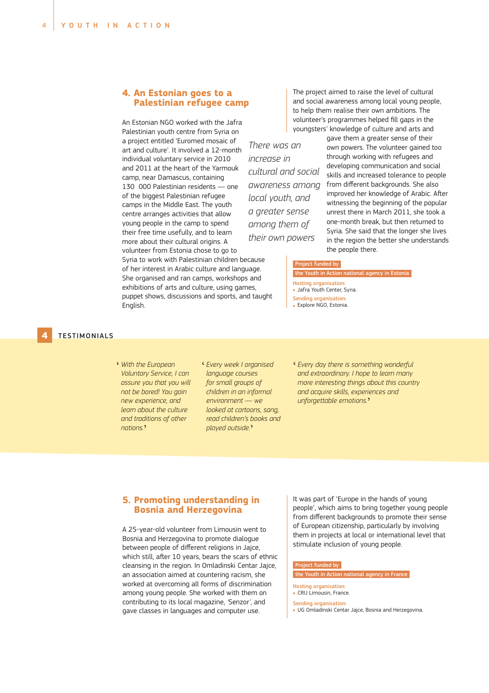# **4. Palestinian refugee ca -**

An Estonian NGO worked with the Jafra Palestinian youth centre from Syria on a project entitled 'Euromed mosaic of art and culture'. It involved a 12-month individual voluntary service in 2010 and 2011 at the heart of the Yarmouk camp, near Damascus, containing 130 000 Palestinian residents — one of the biggest Palestinian refugee camps in the Middle East. The youth centre arranges activities that allow young people in the camp to spend their free time usefully, and to learn more about their cultural origins. A volunteer from Estonia chose to go to Syria to work with Palestinian children because

of her interest in Arabic culture and language. She organised and ran camps, workshops and exhibitions of arts and culture, using games, puppet shows, discussions and sports, and taught English.

The project aimed to raise the level of cultural and social awareness among local young people, to help them realise their own ambitions. The volunteer's programmes helped fill gaps in the youngsters' knowledge of culture and arts and

*There was an increase in* awareness amona *local vouth, and a* areater sense  their own powers

gave them a greater sense of their own powers. The volunteer gained too through working with refugees and developing communication and social skills and increased tolerance to people from different backgrounds. She also improved her knowledge of Arabic. After witnessing the beginning of the popular unrest there in March 2011, she took a one-month break, but then returned to Syria. She said that the longer she lives in the region the better she understands the people there.

#### Project funded by

- the Youth in Action national agency in Estonia
- Hosting organisation:
- **.** Jafra Youth Center, Syria.
- Sending organisation:
- · Explore NGO, Estonia.

# **4** TESTIMONIALS

- <sup>*c*</sup> *With the European Voluntary Service, I can* assure you that you will not be bored! You gain *new experience, and learn about the culture and traditions of other* nations.<sup></sup>
- **e** Every week I organised *<u>language courses</u>* for small groups of children in an informal *environment* — *we looked at cartoons, sana. read children's books and -* '
- <sup>*i*</sup> Every day there is something wonderful *and extraordinary. I hope to learn many more interesting things about this country and acquire skills, experiences and -- - %* '

# **Bosnia and Herzegovina** -- **,** . . . . . .

A 25-year-old volunteer from Limousin went to Bosnia and Herzegovina to promote dialogue between people of different religions in Jajce, which still, after 10 years, bears the scars of ethnic cleansing in the region. In Omladinski Centar Jajce, an association aimed at countering racism, she worked at overcoming all forms of discrimination among young people. She worked with them on contributing to its local magazine, *'*Senzor*\$*, and gave classes in languages and computer use.

It was part of 'Europe in the hands of young people', which aims to bring together young people from different backgrounds to promote their sense of European citizenship, particularly by involving them in projects at local or international level that stimulate inclusion of young people.

#### Project funded by

#### the Youth in Action national agency in France

Hosting organisation:

- CRIJ Limousin, France.
- Sending organisation:
- . UG Omladinski Centar Jajce, Bosnia and Herzegovina.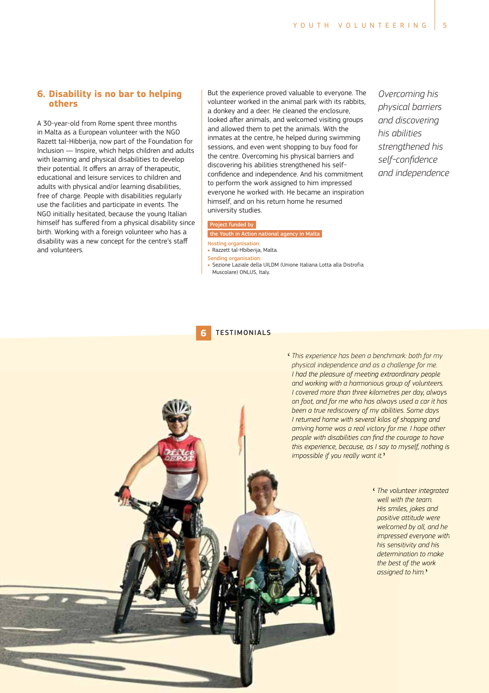$\epsilon$  This experience has been a benchmark: both for my  $\frac{1}{2}$  *n*  $\frac{1}{2}$  *n*  $\frac{1}{2}$  *n*  $\frac{1}{2}$  *n*  $\frac{1}{2}$  *n*  $\frac{1}{2}$  *n*  $\frac{1}{2}$  *n*  $\frac{1}{2}$  *n*  $\frac{1}{2}$  *n*  $\frac{1}{2}$  *n*  $\frac{1}{2}$  *n*  $\frac{1}{2}$  *n*  $\frac{1}{2}$  *n*  $\frac{1}{2}$  *n*  $\frac{1}{2}$  *n*  $\frac{1}{2}$ 

# **6. Disability is no bar to helping**

A 30-year-old from Rome spent three months in Malta as a European volunteer with the NGO Razett tal-Hibberija, now part of the Foundation for Inclusion — Inspire, which helps children and adults with learning and physical disabilities to develop their potential. It offers an array of therapeutic, educational and leisure services to children and adults with physical and/or learning disabilities, free of charge. People with disabilities regularly use the facilities and participate in events. The NGO initially hesitated, because the young Italian himself has suffered from a physical disability since birth. Working with a foreign volunteer who has a disability was a new concept for the centre's staff and volunteers.

But the experience proved valuable to everyone. The volunteer worked in the animal park with its rabbits, a donkey and a deer. He cleaned the enclosure, looked after animals, and welcomed visiting groups and allowed them to pet the animals. With the inmates at the centre, he helped during swimming sessions, and even went shopping to buy food for the centre. Overcoming his physical barriers and discovering his abilities strengthened his self confidence and independence. And his commitment to perform the work assigned to him impressed everyone he worked with. He became an inspiration himself, and on his return home he resumed university studies.

#### Project funded by

#### the Youth in Action national agency in Malta

- Hosting organisation: . Razzett tal-Hbiberija, Malta.
- Sending organisation:
- · Sezione Laziale della UILDM (Unione Italiana Lotta alla Distrofia
- Muscolare) ONLUS, Italy.

# **6** TESTIMONIALS

*<u>Overcoming his</u> <i><u>bhysical barriers</u>*  his abilities  *- - and independence* 

*%*

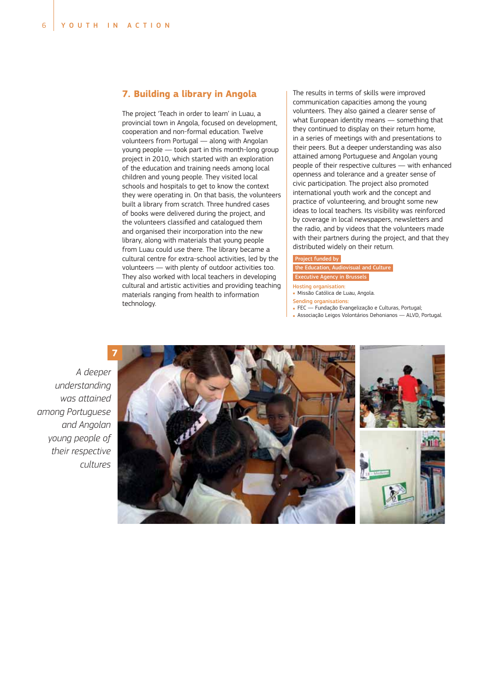# 

The project 'Teach in order to learn' in Luau, a provincial town in Angola, focused on development, cooperation and non-formal education. Twelve volunteers from Portugal — along with Angolan young people — took part in this month-long group project in 2010, which started with an exploration of the education and training needs among local children and young people. They visited local schools and hospitals to get to know the context they were operating in. On that basis, the volunteers built a library from scratch. Three hundred cases of books were delivered during the project, and the volunteers classified and catalogued them and organised their incorporation into the new library, along with materials that young people from Luau could use there. The library became a cultural centre for extra-school activities, led by the volunteers — with plenty of outdoor activities too. They also worked with local teachers in developing cultural and artistic activities and providing teaching materials ranging from health to information technology.

The results in terms of skills were improved communication capacities among the young volunteers. They also gained a clearer sense of what European identity means — something that they continued to display on their return home, in a series of meetings with and presentations to their peers. But a deeper understanding was also attained among Portuguese and Angolan young people of their respective cultures — with enhanced openness and tolerance and a greater sense of civic participation. The project also promoted international youth work and the concept and practice of volunteering, and brought some new ideas to local teachers. Its visibility was reinforced by coverage in local newspapers, newsletters and the radio, and by videos that the volunteers made with their partners during the project, and that they distributed widely on their return.

# ect funded by

the Education, Audiovisual and Culture Executive Agency in Brussels

- Hosting organisation:
- Missão Católica de Luau, Angola.
- <mark>Sending organisations:</mark><br>• FEC Fundação Evangelização e Culturas, Portugal;
- Associação Leigos Volontários Dehonianos ALVD, Portugal.

*/*  was attained *0*  and Angolan voung people of *their respective -* 

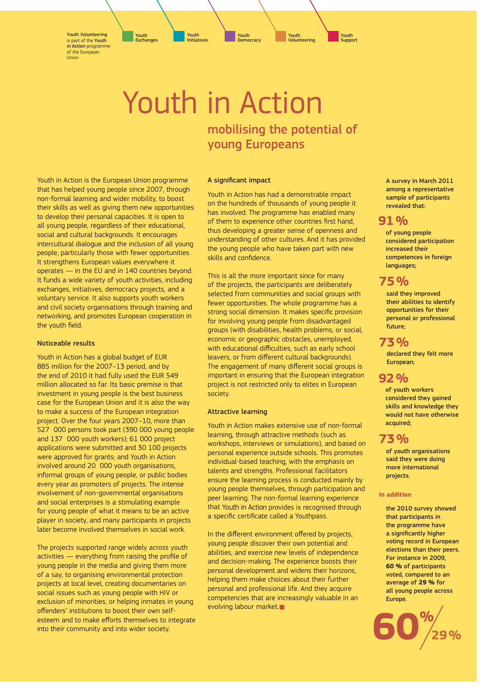Youth Volunteering is part of the Youth in Action programme of the European Union

> Youth in Action mobilising the potential of young Europeans

> > A significant impact

Youth in Action has had a demonstrable impact on the hundreds of thousands of young people it has involved. The programme has enabled many of them to experience other countries first hand, thus developing a greater sense of openness and understanding of other cultures. And it has provided the young people who have taken part with new skills and confidence.

This is all the more important since for many of the projects, the participants are deliberately selected from communities and social groups with fewer opportunities. The whole programme has a strong social dimension. It makes specific provision for involving young people from disadvantaged groups (with disabilities, health problems, or social, economic or geographic obstacles, unemployed, with educational difficulties, such as early school leavers, or from different cultural backgrounds). The engagement of many different social groups is important in ensuring that the European integration project is not restricted only to elites in European society.

## Attractive learning

Youth in Action makes extensive use of non-formal learning, through attractive methods (such as workshops, interviews or simulations), and based on personal experience outside schools. This promotes individual-based teaching, with the emphasis on talents and strengths. Professional facilitators ensure the learning process is conducted mainly by young people themselves, through participation and peer learning. The non-formal learning experience that Youth in Action provides is recognised through a specific certificate called a Youthpass.

In the different environment offered by projects, young people discover their own potential and abilities, and exercise new levels of independence and decision-making. The experience boosts their personal development and widens their horizons, helping them make choices about their further personal and professional life. And they acquire competencies that are increasingly valuable in an evolving labour market.

A survey in March 2011 among a representative sample of participants revealed that:

# 91%

of young people considered participation increased their competences in foreign languages;

# 75%

**75 %** said they improved their abilities to identify opportunities for their personal or professional future;

# 73 %

declared they felt more European;

# $92%$

of youth workers considered they gained skills and knowledge they would not have otherwise acquired;

# **73%**

of youth organisations said they were doing more international projects.

# In addition

the 2010 survey showed that participants in the programme have a significantly higher voting record in European elections than their peers. For instance in 2009, **60 %** of participants voted, compared to an average of **29 %** for all young people across Europe.



Youth in Action is the European Union programme that has helped young people since 2007, through non-formal learning and wider mobility, to boost their skills as well as giving them new opportunities to develop their personal capacities. It is open to all young people, regardless of their educational, social and cultural backgrounds. It encourages intercultural dialogue and the inclusion of all young people, particularly those with fewer opportunities. It strengthens European values everywhere it operates — in the EU and in 140 countries beyond. It funds a wide variety of youth activities, including exchanges, initiatives, democracy projects, and a voluntary service. It also supports youth workers and civil society organisations through training and networking, and promotes European cooperation in the youth field.

## Noticeable results

Youth in Action has a global budget of EUR 885 million for the 2007–13 period, and by the end of 2010 it had fully used the EUR 549 million allocated so far. Its basic premise is that investment in young people is the best business case for the European Union and it is also the way to make a success of the European integration project. Over the four years 2007–10, more than 527 000 persons took part (390 000 young people and 137 000 youth workers); 61 000 project applications were submitted and 30 100 projects were approved for grants; and Youth in Action involved around 20 000 youth organisations, informal groups of young people, or public bodies every year as promoters of projects. The intense involvement of non-governmental organisations and social enterprises is a stimulating example for young people of what it means to be an active player in society, and many participants in projects later become involved themselves in social work.

The projects supported range widely across youth activities – everything from raising the profile of young people in the media and giving them more of a say, to organising environmental protection projects at local level, creating documentaries on social issues such as young people with HIV or exclusion of minorities, or helping inmates in young offenders' institutions to boost their own selfesteem and to make efforts themselves to integrate into their community and into wider society.

#### Y<mark>outh</mark><br>Initiatives Initiatives Youth Exchanges Youth **Democracy**

Youth **Support** 

Youth Volunteering